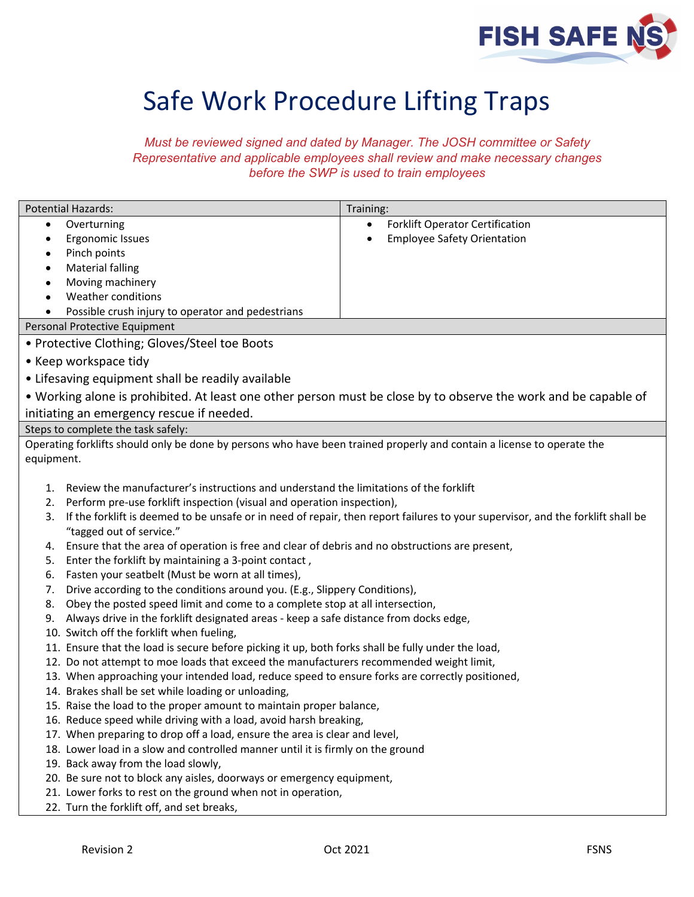

## Safe Work Procedure Lifting Traps

*Must be reviewed signed and dated by Manager. The JOSH committee or Safety Representative and applicable employees shall review and make necessary changes before the SWP is used to train employees*

| <b>Potential Hazards:</b>                                                                                                                                                                                                                                                                                                                                                                                                                                                                                                                                                                                                                                                                                                                                                                                                                                                                                                                                                                                                                                                                                                                                                                                                                                                                                                                                                                                                                                                                                                                                                                                                                                        | Training:                              |
|------------------------------------------------------------------------------------------------------------------------------------------------------------------------------------------------------------------------------------------------------------------------------------------------------------------------------------------------------------------------------------------------------------------------------------------------------------------------------------------------------------------------------------------------------------------------------------------------------------------------------------------------------------------------------------------------------------------------------------------------------------------------------------------------------------------------------------------------------------------------------------------------------------------------------------------------------------------------------------------------------------------------------------------------------------------------------------------------------------------------------------------------------------------------------------------------------------------------------------------------------------------------------------------------------------------------------------------------------------------------------------------------------------------------------------------------------------------------------------------------------------------------------------------------------------------------------------------------------------------------------------------------------------------|----------------------------------------|
| Overturning<br>$\bullet$                                                                                                                                                                                                                                                                                                                                                                                                                                                                                                                                                                                                                                                                                                                                                                                                                                                                                                                                                                                                                                                                                                                                                                                                                                                                                                                                                                                                                                                                                                                                                                                                                                         | <b>Forklift Operator Certification</b> |
| Ergonomic Issues<br>Pinch points                                                                                                                                                                                                                                                                                                                                                                                                                                                                                                                                                                                                                                                                                                                                                                                                                                                                                                                                                                                                                                                                                                                                                                                                                                                                                                                                                                                                                                                                                                                                                                                                                                 | <b>Employee Safety Orientation</b>     |
| <b>Material falling</b>                                                                                                                                                                                                                                                                                                                                                                                                                                                                                                                                                                                                                                                                                                                                                                                                                                                                                                                                                                                                                                                                                                                                                                                                                                                                                                                                                                                                                                                                                                                                                                                                                                          |                                        |
| Moving machinery                                                                                                                                                                                                                                                                                                                                                                                                                                                                                                                                                                                                                                                                                                                                                                                                                                                                                                                                                                                                                                                                                                                                                                                                                                                                                                                                                                                                                                                                                                                                                                                                                                                 |                                        |
| Weather conditions                                                                                                                                                                                                                                                                                                                                                                                                                                                                                                                                                                                                                                                                                                                                                                                                                                                                                                                                                                                                                                                                                                                                                                                                                                                                                                                                                                                                                                                                                                                                                                                                                                               |                                        |
| Possible crush injury to operator and pedestrians                                                                                                                                                                                                                                                                                                                                                                                                                                                                                                                                                                                                                                                                                                                                                                                                                                                                                                                                                                                                                                                                                                                                                                                                                                                                                                                                                                                                                                                                                                                                                                                                                |                                        |
| Personal Protective Equipment                                                                                                                                                                                                                                                                                                                                                                                                                                                                                                                                                                                                                                                                                                                                                                                                                                                                                                                                                                                                                                                                                                                                                                                                                                                                                                                                                                                                                                                                                                                                                                                                                                    |                                        |
| • Protective Clothing; Gloves/Steel toe Boots                                                                                                                                                                                                                                                                                                                                                                                                                                                                                                                                                                                                                                                                                                                                                                                                                                                                                                                                                                                                                                                                                                                                                                                                                                                                                                                                                                                                                                                                                                                                                                                                                    |                                        |
|                                                                                                                                                                                                                                                                                                                                                                                                                                                                                                                                                                                                                                                                                                                                                                                                                                                                                                                                                                                                                                                                                                                                                                                                                                                                                                                                                                                                                                                                                                                                                                                                                                                                  |                                        |
| • Keep workspace tidy                                                                                                                                                                                                                                                                                                                                                                                                                                                                                                                                                                                                                                                                                                                                                                                                                                                                                                                                                                                                                                                                                                                                                                                                                                                                                                                                                                                                                                                                                                                                                                                                                                            |                                        |
| • Lifesaving equipment shall be readily available                                                                                                                                                                                                                                                                                                                                                                                                                                                                                                                                                                                                                                                                                                                                                                                                                                                                                                                                                                                                                                                                                                                                                                                                                                                                                                                                                                                                                                                                                                                                                                                                                |                                        |
| • Working alone is prohibited. At least one other person must be close by to observe the work and be capable of                                                                                                                                                                                                                                                                                                                                                                                                                                                                                                                                                                                                                                                                                                                                                                                                                                                                                                                                                                                                                                                                                                                                                                                                                                                                                                                                                                                                                                                                                                                                                  |                                        |
| initiating an emergency rescue if needed.                                                                                                                                                                                                                                                                                                                                                                                                                                                                                                                                                                                                                                                                                                                                                                                                                                                                                                                                                                                                                                                                                                                                                                                                                                                                                                                                                                                                                                                                                                                                                                                                                        |                                        |
| Steps to complete the task safely:                                                                                                                                                                                                                                                                                                                                                                                                                                                                                                                                                                                                                                                                                                                                                                                                                                                                                                                                                                                                                                                                                                                                                                                                                                                                                                                                                                                                                                                                                                                                                                                                                               |                                        |
| Operating forklifts should only be done by persons who have been trained properly and contain a license to operate the                                                                                                                                                                                                                                                                                                                                                                                                                                                                                                                                                                                                                                                                                                                                                                                                                                                                                                                                                                                                                                                                                                                                                                                                                                                                                                                                                                                                                                                                                                                                           |                                        |
| equipment.                                                                                                                                                                                                                                                                                                                                                                                                                                                                                                                                                                                                                                                                                                                                                                                                                                                                                                                                                                                                                                                                                                                                                                                                                                                                                                                                                                                                                                                                                                                                                                                                                                                       |                                        |
| Perform pre-use forklift inspection (visual and operation inspection),<br>2.<br>If the forklift is deemed to be unsafe or in need of repair, then report failures to your supervisor, and the forklift shall be<br>3.<br>"tagged out of service."<br>Ensure that the area of operation is free and clear of debris and no obstructions are present,<br>4.<br>Enter the forklift by maintaining a 3-point contact,<br>5.<br>Fasten your seatbelt (Must be worn at all times),<br>6.<br>Drive according to the conditions around you. (E.g., Slippery Conditions),<br>7.<br>Obey the posted speed limit and come to a complete stop at all intersection,<br>8.<br>Always drive in the forklift designated areas - keep a safe distance from docks edge,<br>9.<br>10. Switch off the forklift when fueling,<br>11. Ensure that the load is secure before picking it up, both forks shall be fully under the load,<br>12. Do not attempt to moe loads that exceed the manufacturers recommended weight limit,<br>13. When approaching your intended load, reduce speed to ensure forks are correctly positioned,<br>14. Brakes shall be set while loading or unloading,<br>15. Raise the load to the proper amount to maintain proper balance,<br>16. Reduce speed while driving with a load, avoid harsh breaking,<br>17. When preparing to drop off a load, ensure the area is clear and level,<br>18. Lower load in a slow and controlled manner until it is firmly on the ground<br>19. Back away from the load slowly,<br>20. Be sure not to block any aisles, doorways or emergency equipment,<br>21. Lower forks to rest on the ground when not in operation, |                                        |
|                                                                                                                                                                                                                                                                                                                                                                                                                                                                                                                                                                                                                                                                                                                                                                                                                                                                                                                                                                                                                                                                                                                                                                                                                                                                                                                                                                                                                                                                                                                                                                                                                                                                  |                                        |
| 22. Turn the forklift off, and set breaks,                                                                                                                                                                                                                                                                                                                                                                                                                                                                                                                                                                                                                                                                                                                                                                                                                                                                                                                                                                                                                                                                                                                                                                                                                                                                                                                                                                                                                                                                                                                                                                                                                       |                                        |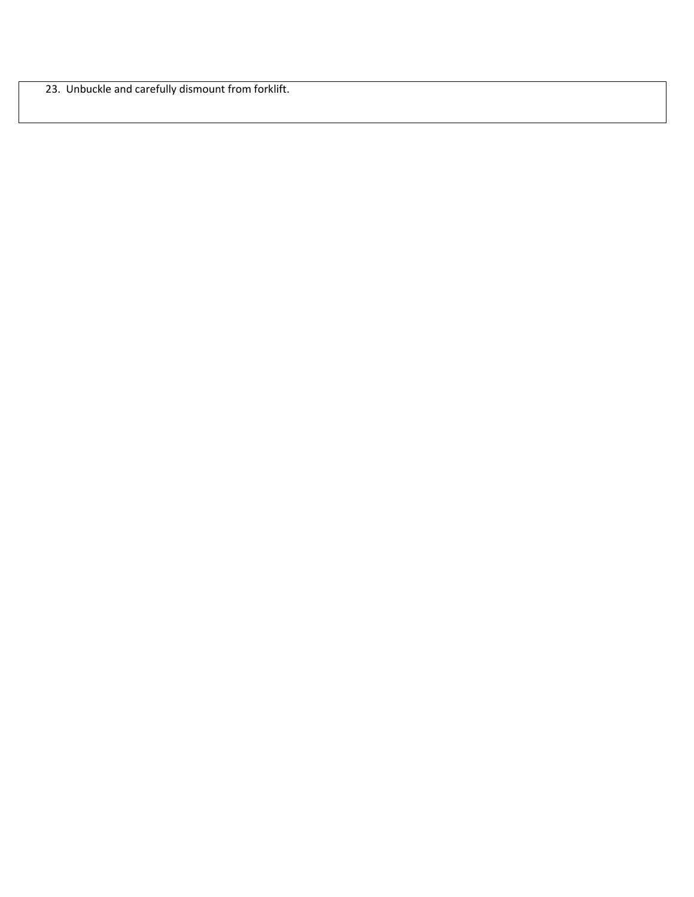23. Unbuckle and carefully dismount from forklift.